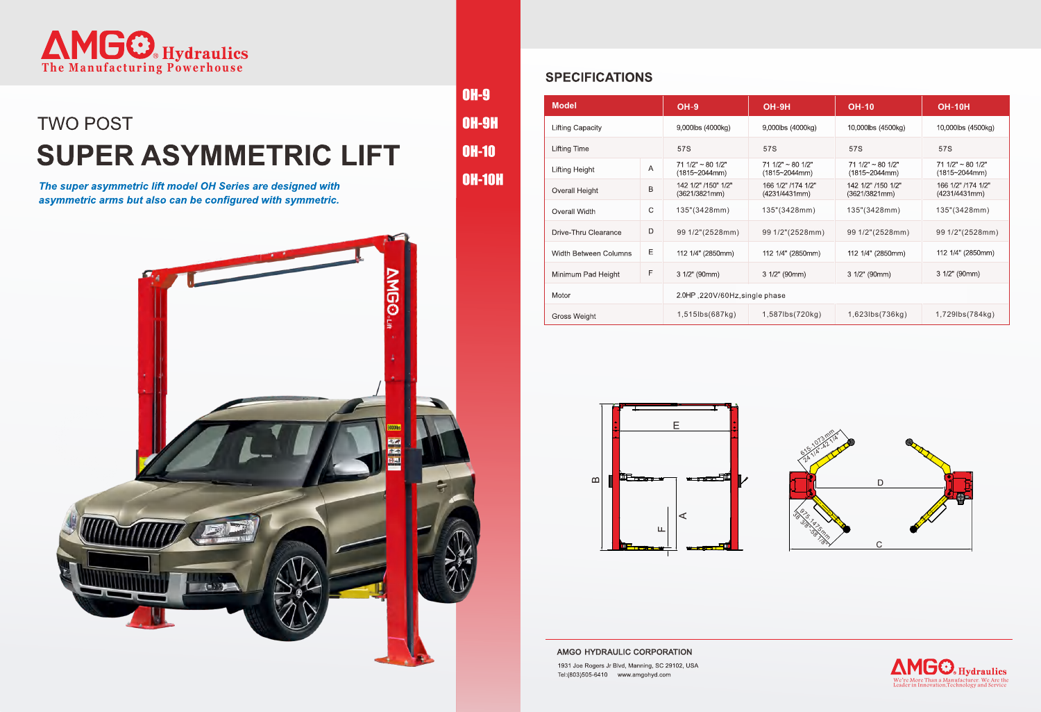

## **TWO POST SUPER ASYMMETRIC LIFT**

The super asymmetric lift model OH Series are designed with asymmetric arms but also can be configured with symmetric.



### **SPECIFICATIONS**

**OH-9** 

**OH-9H** 

 $OH-10$ 

**OH-10H** 

| <b>Model</b>            |   | $OH-9$                                     | $OH-9H$                                    | <b>OH-10</b>                               | <b>OH-10H</b>                                  |
|-------------------------|---|--------------------------------------------|--------------------------------------------|--------------------------------------------|------------------------------------------------|
| <b>Lifting Capacity</b> |   | 9,000lbs (4000kg)                          | 9,000lbs (4000kg)                          | 10,000lbs (4500kg)                         | 10,000lbs (4500kg)                             |
| Lifting Time            |   | 57S                                        | 57S                                        | 57S                                        | 57S                                            |
| Lifting Height          | Α | $711/2" \sim 801/2"$<br>$(1815 - 2044$ mm) | $711/2" \sim 801/2"$<br>$(1815 - 2044$ mm) | $711/2" \sim 801/2"$<br>$(1815 - 2044$ mm) | 71 $1/2" \sim 80$ $1/2"$<br>$(1815 - 2044$ mm) |
| Overall Height          | B | 142 1/2" /150" 1/2"<br>(3621/3821mm)       | 166 1/2" /174 1/2"<br>(4231/4431mm)        | 142 1/2" /150 1/2"<br>(3621/3821mm)        | 166 1/2" /174 1/2"<br>(4231/4431mm)            |
| Overall Width           | C | 135"(3428mm)                               | 135"(3428mm)                               | 135"(3428mm)                               | 135"(3428mm)                                   |
| Drive-Thru Clearance    | D | 99 1/2"(2528mm)                            | 99 1/2"(2528mm)                            | 99 1/2"(2528mm)                            | 99 1/2"(2528mm)                                |
| Width Between Columns   | Е | 112 1/4" (2850mm)                          | 112 1/4" (2850mm)                          | 112 1/4" (2850mm)                          | 112 1/4" (2850mm)                              |
| Minimum Pad Height      | F | $31/2"$ (90mm)                             | $31/2"$ (90mm)                             | $31/2"$ (90mm)                             | $31/2"$ (90mm)                                 |
| Motor                   |   | 2.0HP, 220V/60Hz, single phase             |                                            |                                            |                                                |
| Gross Weight            |   | 1,515lbs(687kg)                            | 1,587lbs(720kg)                            | 1,623lbs(736kg)                            | 1,729lbs(784kg)                                |



AMGO HYDRAULIC CORPORATION

1931 Joe Rogers Jr Blvd, Manning, SC 29102, USA Tel:(803)505-6410 www.amgohyd.com